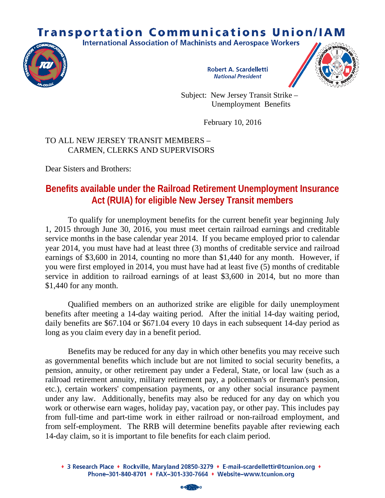## **Transportation Communications Union/IAM**

**International Association of Machinists and Aerospace Workers** 



**Robert A. Scardelletti National President** 



Subject: New Jersey Transit Strike – Unemployment Benefits

February 10, 2016

## TO ALL NEW JERSEY TRANSIT MEMBERS – CARMEN, CLERKS AND SUPERVISORS

Dear Sisters and Brothers:

## **Benefits available under the Railroad Retirement Unemployment Insurance Act (RUIA) for eligible New Jersey Transit members**

To qualify for unemployment benefits for the current benefit year beginning July 1, 2015 through June 30, 2016, you must meet certain railroad earnings and creditable service months in the base calendar year 2014. If you became employed prior to calendar year 2014, you must have had at least three (3) months of creditable service and railroad earnings of \$3,600 in 2014, counting no more than \$1,440 for any month. However, if you were first employed in 2014, you must have had at least five (5) months of creditable service in addition to railroad earnings of at least \$3,600 in 2014, but no more than \$1,440 for any month.

Qualified members on an authorized strike are eligible for daily unemployment benefits after meeting a 14-day waiting period. After the initial 14-day waiting period, daily benefits are \$67.104 or \$671.04 every 10 days in each subsequent 14-day period as long as you claim every day in a benefit period.

Benefits may be reduced for any day in which other benefits you may receive such as governmental benefits which include but are not limited to social security benefits, a pension, annuity, or other retirement pay under a Federal, State, or local law (such as a railroad retirement annuity, military retirement pay, a policeman's or fireman's pension, etc.), certain workers' compensation payments, or any other social insurance payment under any law. Additionally, benefits may also be reduced for any day on which you work or otherwise earn wages, holiday pay, vacation pay, or other pay. This includes pay from full-time and part-time work in either railroad or non-railroad employment, and from self-employment. The RRB will determine benefits payable after reviewing each 14-day claim, so it is important to file benefits for each claim period.

<sup>◆ 3</sup> Research Place ◆ Rockville, Maryland 20850-3279 ◆ E-mail-scardellettir@tcunion.org ◆ Phone-301-840-8701 • FAX-301-330-7664 • Website-www.tcunion.org

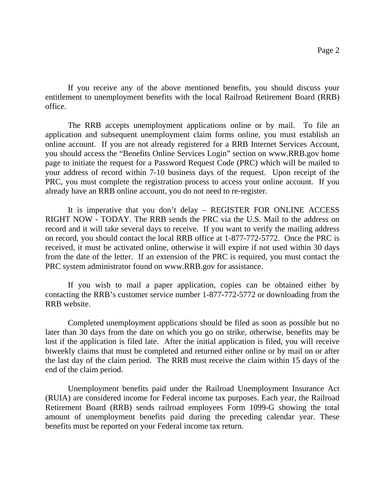If you receive any of the above mentioned benefits, you should discuss your entitlement to unemployment benefits with the local Railroad Retirement Board (RRB) office.

The RRB accepts unemployment applications online or by mail. To file an application and subsequent unemployment claim forms online, you must establish an online account. If you are not already registered for a RRB Internet Services Account, you should access the "Benefits Online Services Login" section on www.RRB.gov home page to initiate the request for a Password Request Code (PRC) which will be mailed to your address of record within 7-10 business days of the request. Upon receipt of the PRC, you must complete the registration process to access your online account. If you already have an RRB online account, you do not need to re-register.

It is imperative that you don't delay – REGISTER FOR ONLINE ACCESS RIGHT NOW - TODAY. The RRB sends the PRC via the U.S. Mail to the address on record and it will take several days to receive. If you want to verify the mailing address on record, you should contact the local RRB office at 1-877-772-5772. Once the PRC is received, it must be activated online, otherwise it will expire if not used within 30 days from the date of the letter. If an extension of the PRC is required, you must contact the PRC system administrator found on www.RRB.gov for assistance.

If you wish to mail a paper application, copies can be obtained either by contacting the RRB's customer service number 1-877-772-5772 or downloading from the RRB website.

Completed unemployment applications should be filed as soon as possible but no later than 30 days from the date on which you go on strike, otherwise, benefits may be lost if the application is filed late. After the initial application is filed, you will receive biweekly claims that must be completed and returned either online or by mail on or after the last day of the claim period. The RRB must receive the claim within 15 days of the end of the claim period.

Unemployment benefits paid under the Railroad Unemployment Insurance Act (RUIA) are considered income for Federal income tax purposes. Each year, the Railroad Retirement Board (RRB) sends railroad employees Form 1099-G showing the total amount of unemployment benefits paid during the preceding calendar year. These benefits must be reported on your Federal income tax return.